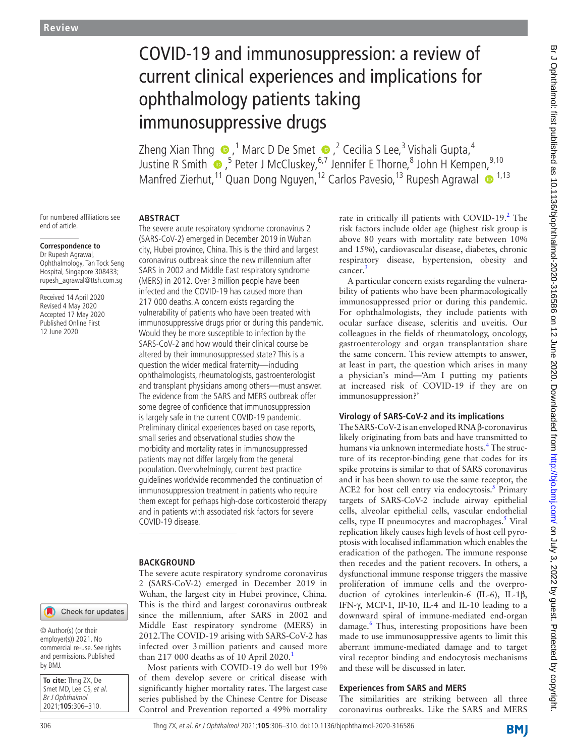# COVID-19 and immunosuppression: a review of current clinical experiences and implications for ophthalmology patients taking immunosuppressive drugs

Zheng Xian Thng  $\bigcirc$  ,<sup>1</sup> Marc D De Smet  $\bigcirc$  ,<sup>2</sup> Cecilia S Lee,<sup>3</sup> Vishali Gupta,<sup>4</sup> JustineR Smith  $\bigcirc$  , <sup>5</sup> Peter J McCluskey, <sup>6,7</sup> Jennifer E Thorne, <sup>8</sup> John H Kempen,  $^{9,10}$ Manfred Zierhut,<sup>11</sup> Quan Dong Nguyen,<sup>12</sup> Carlos Pavesio,<sup>13</sup> Rupesh Agrawal <sup>1,13</sup>

For numbered affiliations see end of article.

## **Correspondence to**

Dr Rupesh Agrawal, Ophthalmology, Tan Tock Seng Hospital, Singapore 308433; rupesh\_agrawal@ttsh.com.sg

Received 14 April 2020 Revised 4 May 2020 Accepted 17 May 2020 Published Online First 12 June 2020

## **Abstract**

The severe acute respiratory syndrome coronavirus 2 (SARS-CoV-2) emerged in December 2019 in Wuhan city, Hubei province, China. This is the third and largest coronavirus outbreak since the new millennium after SARS in 2002 and Middle East respiratory syndrome (MERS) in 2012. Over 3million people have been infected and the COVID-19 has caused more than 217 000 deaths. A concern exists regarding the vulnerability of patients who have been treated with immunosuppressive drugs prior or during this pandemic. Would they be more susceptible to infection by the SARS-CoV-2 and how would their clinical course be altered by their immunosuppressed state? This is a question the wider medical fraternity—including ophthalmologists, rheumatologists, gastroenterologist and transplant physicians among others—must answer. The evidence from the SARS and MERS outbreak offer some degree of confidence that immunosuppression is largely safe in the current COVID-19 pandemic. Preliminary clinical experiences based on case reports, small series and observational studies show the morbidity and mortality rates in immunosuppressed patients may not differ largely from the general population. Overwhelmingly, current best practice guidelines worldwide recommended the continuation of immunosuppression treatment in patients who require them except for perhaps high-dose corticosteroid therapy and in patients with associated risk factors for severe COVID-19 disease.

## **BACKGROUND**

The severe acute respiratory syndrome coronavirus 2 (SARS-CoV-2) emerged in December 2019 in Wuhan, the largest city in Hubei province, China. This is the third and largest coronavirus outbreak since the millennium, after SARS in 2002 and Middle East respiratory syndrome (MERS) in 2012.The COVID-19 arising with SARS-CoV-2 has infected over 3million patients and caused more than 2[1](#page-3-0)7 000 deaths as of 10 April 2020.<sup>1</sup>

Most patients with COVID-19 do well but 19% of them develop severe or critical disease with significantly higher mortality rates. The largest case series published by the Chinese Centre for Disease Control and Prevention reported a 49% mortality

rate in critically ill patients with COVID-19.<sup>[2](#page-3-1)</sup> The risk factors include older age (highest risk group is above 80 years with mortality rate between 10% and 15%), cardiovascular disease, diabetes, chronic respiratory disease, hypertension, obesity and cancer.<sup>[3](#page-3-2)</sup>

A particular concern exists regarding the vulnerability of patients who have been pharmacologically immunosuppressed prior or during this pandemic. For ophthalmologists, they include patients with ocular surface disease, scleritis and uveitis. Our colleagues in the fields of rheumatology, oncology, gastroenterology and organ transplantation share the same concern. This review attempts to answer, at least in part, the question which arises in many a physician's mind—'Am I putting my patients at increased risk of COVID-19 if they are on immunosuppression?'

## **Virology of SARS-CoV-2 and its implications**

The SARS-CoV-2 is an enveloped RNA β-coronavirus likely originating from bats and have transmitted to humans via unknown intermediate hosts.<sup>[4](#page-3-3)</sup> The structure of its receptor-binding gene that codes for its spike proteins is similar to that of SARS coronavirus and it has been shown to use the same receptor, the ACE2 for host cell entry via endocytosis. $5$  Primary targets of SARS-CoV-2 include airway epithelial cells, alveolar epithelial cells, vascular endothelial cells, type II pneumocytes and macrophages.<sup>5</sup> Viral replication likely causes high levels of host cell pyroptosis with localised inflammation which enables the eradication of the pathogen. The immune response then recedes and the patient recovers. In others, a dysfunctional immune response triggers the massive proliferation of immune cells and the overproduction of cytokines interleukin-6 (IL-6), IL-1β, IFN-γ, MCP-1, IP-10, IL-4 and IL-10 leading to a downward spiral of immune-mediated end-organ damage.<sup>6</sup> Thus, interesting propositions have been made to use immunosuppressive agents to limit this aberrant immune-mediated damage and to target viral receptor binding and endocytosis mechanisms and these will be discussed in later.

## **Experiences from SARS and MERS**

The similarities are striking between all three coronavirus outbreaks. Like the SARS and MERS

**BMI** 

by BMJ.

**To cite:** Thng ZX, De Smet MD, Lee CS, et al. Br J Ophthalmol 2021;**105**:306–310.

© Author(s) (or their employer(s)) 2021. No commercial re-use. See rights and permissions. Published

Check for updates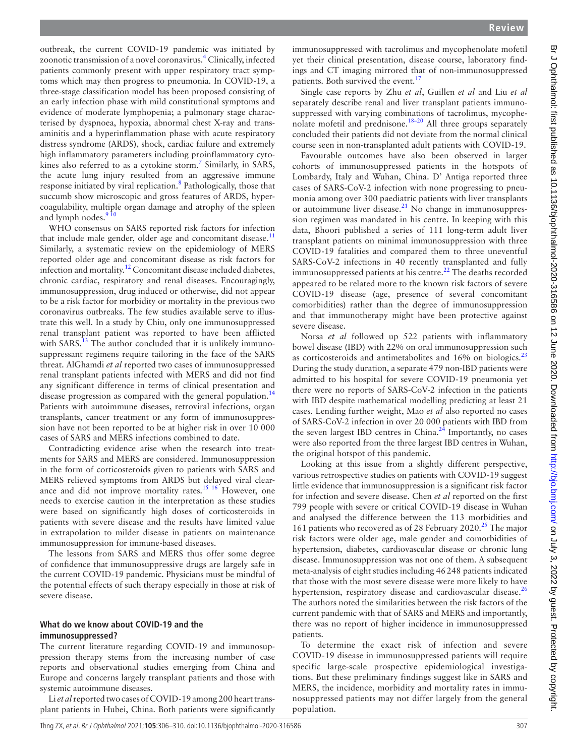outbreak, the current COVID-19 pandemic was initiated by zoonotic transmission of a novel coronavirus.<sup>[4](#page-3-3)</sup> Clinically, infected patients commonly present with upper respiratory tract symptoms which may then progress to pneumonia. In COVID-19, a three-stage classification model has been proposed consisting of an early infection phase with mild constitutional symptoms and evidence of moderate lymphopenia; a pulmonary stage characterised by dyspnoea, hypoxia, abnormal chest X-ray and transaminitis and a hyperinflammation phase with acute respiratory distress syndrome (ARDS), shock, cardiac failure and extremely high inflammatory parameters including proinflammatory cyto-kines also referred to as a cytokine storm.<sup>[7](#page-3-6)</sup> Similarly, in SARS, the acute lung injury resulted from an aggressive immune response initiated by viral replication.<sup>[8](#page-3-7)</sup> Pathologically, those that succumb show microscopic and gross features of ARDS, hypercoagulability, multiple organ damage and atrophy of the spleen and lymph nodes.<sup>9</sup>

WHO consensus on SARS reported risk factors for infection that include male gender, older age and concomitant disease. $<sup>11</sup>$  $<sup>11</sup>$  $<sup>11</sup>$ </sup> Similarly, a systematic review on the epidemiology of MERS reported older age and concomitant disease as risk factors for infection and mortality.<sup>12</sup> Concomitant disease included diabetes, chronic cardiac, respiratory and renal diseases. Encouragingly, immunosuppression, drug induced or otherwise, did not appear to be a risk factor for morbidity or mortality in the previous two coronavirus outbreaks. The few studies available serve to illustrate this well. In a study by Chiu, only one immunosuppressed renal transplant patient was reported to have been afflicted with SARS.<sup>13</sup> The author concluded that it is unlikely immunosuppressant regimens require tailoring in the face of the SARS threat. AlGhamdi *et al* reported two cases of immunosuppressed renal transplant patients infected with MERS and did not find any significant difference in terms of clinical presentation and disease progression as compared with the general population.<sup>[14](#page-4-1)</sup> Patients with autoimmune diseases, retroviral infections, organ transplants, cancer treatment or any form of immunosuppression have not been reported to be at higher risk in over 10 000 cases of SARS and MERS infections combined to date.

Contradicting evidence arise when the research into treatments for SARS and MERS are considered. Immunosuppression in the form of corticosteroids given to patients with SARS and MERS relieved symptoms from ARDS but delayed viral clear-ance and did not improve mortality rates.<sup>[15 16](#page-4-2)</sup> However, one needs to exercise caution in the interpretation as these studies were based on significantly high doses of corticosteroids in patients with severe disease and the results have limited value in extrapolation to milder disease in patients on maintenance immunosuppression for immune-based diseases.

The lessons from SARS and MERS thus offer some degree of confidence that immunosuppressive drugs are largely safe in the current COVID-19 pandemic. Physicians must be mindful of the potential effects of such therapy especially in those at risk of severe disease.

## **What do we know about COVID-19 and the immunosuppressed?**

The current literature regarding COVID-19 and immunosuppression therapy stems from the increasing number of case reports and observational studies emerging from China and Europe and concerns largely transplant patients and those with systemic autoimmune diseases.

Li *et al* reported two cases of COVID-19 among 200 heart transplant patients in Hubei, China. Both patients were significantly

immunosuppressed with tacrolimus and mycophenolate mofetil yet their clinical presentation, disease course, laboratory findings and CT imaging mirrored that of non-immunosuppressed patients. Both survived the event.<sup>[17](#page-4-3)</sup>

Single case reports by Zhu *et al*, Guillen *et al* and Liu *et al* separately describe renal and liver transplant patients immunosuppressed with varying combinations of tacrolimus, mycophe-nolate mofetil and prednisone.<sup>[18–20](#page-4-4)</sup> All three groups separately concluded their patients did not deviate from the normal clinical course seen in non-transplanted adult patients with COVID-19.

Favourable outcomes have also been observed in larger cohorts of immunosuppressed patients in the hotspots of Lombardy, Italy and Wuhan, China. D' Antiga reported three cases of SARS-CoV-2 infection with none progressing to pneumonia among over 300 paediatric patients with liver transplants or autoimmune liver disease. $21$  No change in immunosuppression regimen was mandated in his centre. In keeping with this data, Bhoori published a series of 111 long-term adult liver transplant patients on minimal immunosuppression with three COVID-19 fatalities and compared them to three uneventful SARS-CoV-2 infections in 40 recently transplanted and fully immunosuppressed patients at his centre.<sup>22</sup> The deaths recorded appeared to be related more to the known risk factors of severe COVID-19 disease (age, presence of several concomitant comorbidities) rather than the degree of immunosuppression and that immunotherapy might have been protective against severe disease.

Norsa *et al* followed up 522 patients with inflammatory bowel disease (IBD) with 22% on oral immunosuppression such as corticosteroids and antimetabolites and 16% on biologics.<sup>[23](#page-4-7)</sup> During the study duration, a separate 479 non-IBD patients were admitted to his hospital for severe COVID-19 pneumonia yet there were no reports of SARS-CoV-2 infection in the patients with IBD despite mathematical modelling predicting at least 21 cases. Lending further weight, Mao *et al* also reported no cases of SARS-CoV-2 infection in over 20 000 patients with IBD from the seven largest IBD centres in China. $^{24}$  Importantly, no cases were also reported from the three largest IBD centres in Wuhan, the original hotspot of this pandemic.

Looking at this issue from a slightly different perspective, various retrospective studies on patients with COVID-19 suggest little evidence that immunosuppression is a significant risk factor for infection and severe disease. Chen *et al* reported on the first 799 people with severe or critical COVID-19 disease in Wuhan and analysed the difference between the 113 morbidities and 161 patients who recovered as of 28 February 2020.<sup>25</sup> The major risk factors were older age, male gender and comorbidities of hypertension, diabetes, cardiovascular disease or chronic lung disease. Immunosuppression was not one of them. A subsequent meta-analysis of eight studies including 46248 patients indicated that those with the most severe disease were more likely to have hypertension, respiratory disease and cardiovascular disease.<sup>[26](#page-4-10)</sup> The authors noted the similarities between the risk factors of the current pandemic with that of SARS and MERS and importantly, there was no report of higher incidence in immunosuppressed patients.

To determine the exact risk of infection and severe COVID-19 disease in immunosuppressed patients will require specific large-scale prospective epidemiological investigations. But these preliminary findings suggest like in SARS and MERS, the incidence, morbidity and mortality rates in immunosuppressed patients may not differ largely from the general population.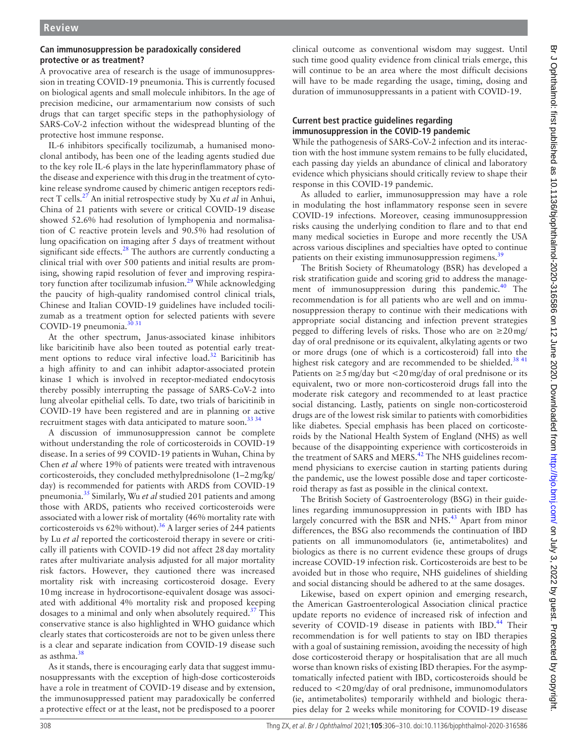## **Can immunosuppression be paradoxically considered protective or as treatment?**

A provocative area of research is the usage of immunosuppression in treating COVID-19 pneumonia. This is currently focused on biological agents and small molecule inhibitors. In the age of precision medicine, our armamentarium now consists of such drugs that can target specific steps in the pathophysiology of SARS-CoV-2 infection without the widespread blunting of the protective host immune response.

IL-6 inhibitors specifically tocilizumab, a humanised monoclonal antibody, has been one of the leading agents studied due to the key role IL-6 plays in the late hyperinflammatory phase of the disease and experience with this drug in the treatment of cytokine release syndrome caused by chimeric antigen receptors redirect T cells[.27](#page-4-11) An initial retrospective study by Xu *et al* in Anhui, China of 21 patients with severe or critical COVID-19 disease showed 52.6% had resolution of lymphopenia and normalisation of C reactive protein levels and 90.5% had resolution of lung opacification on imaging after 5 days of treatment without significant side effects.<sup>[28](#page-4-12)</sup> The authors are currently conducting a clinical trial with over 500 patients and initial results are promising, showing rapid resolution of fever and improving respiratory function after tocilizumab infusion.<sup>29</sup> While acknowledging the paucity of high-quality randomised control clinical trials, Chinese and Italian COVID-19 guidelines have included tocilizumab as a treatment option for selected patients with severe COVID-19 pneumonia.<sup>30</sup> 31

At the other spectrum, Janus-associated kinase inhibitors like baricitinib have also been touted as potential early treatment options to reduce viral infective load.<sup>32</sup> Baricitinib has a high affinity to and can inhibit adaptor-associated protein kinase 1 which is involved in receptor-mediated endocytosis thereby possibly interrupting the passage of SARS-CoV-2 into lung alveolar epithelial cells. To date, two trials of baricitinib in COVID-19 have been registered and are in planning or active recruitment stages with data anticipated to mature soon.<sup>33 34</sup>

A discussion of immunosuppression cannot be complete without understanding the role of corticosteroids in COVID-19 disease. In a series of 99 COVID-19 patients in Wuhan, China by Chen *et al* where 19% of patients were treated with intravenous corticosteroids, they concluded methylprednisolone (1–2mg/kg/ day) is recommended for patients with ARDS from COVID-19 pneumonia.[35](#page-4-17) Similarly, Wu *et al* studied 201 patients and among those with ARDS, patients who received corticosteroids were associated with a lower risk of mortality (46% mortality rate with corticosteroids vs  $62\%$  without).<sup>[36](#page-4-18)</sup> A larger series of 244 patients by Lu *et al* reported the corticosteroid therapy in severe or critically ill patients with COVID-19 did not affect 28day mortality rates after multivariate analysis adjusted for all major mortality risk factors. However, they cautioned there was increased mortality risk with increasing corticosteroid dosage. Every 10mg increase in hydrocortisone-equivalent dosage was associated with additional 4% mortality risk and proposed keeping dosages to a minimal and only when absolutely required. $37$  This conservative stance is also highlighted in WHO guidance which clearly states that corticosteroids are not to be given unless there is a clear and separate indication from COVID-19 disease such as asthma.[38](#page-4-20)

As it stands, there is encouraging early data that suggest immunosuppressants with the exception of high-dose corticosteroids have a role in treatment of COVID-19 disease and by extension, the immunosuppressed patient may paradoxically be conferred a protective effect or at the least, not be predisposed to a poorer

clinical outcome as conventional wisdom may suggest. Until such time good quality evidence from clinical trials emerge, this will continue to be an area where the most difficult decisions will have to be made regarding the usage, timing, dosing and duration of immunosuppressants in a patient with COVID-19.

## **Current best practice guidelines regarding immunosuppression in the COVID-19 pandemic**

While the pathogenesis of SARS-CoV-2 infection and its interaction with the host immune system remains to be fully elucidated, each passing day yields an abundance of clinical and laboratory evidence which physicians should critically review to shape their response in this COVID-19 pandemic.

As alluded to earlier, immunosuppression may have a role in modulating the host inflammatory response seen in severe COVID-19 infections. Moreover, ceasing immunosuppression risks causing the underlying condition to flare and to that end many medical societies in Europe and more recently the USA across various disciplines and specialties have opted to continue patients on their existing immunosuppression regimens.<sup>[39](#page-4-21)</sup>

The British Society of Rheumatology (BSR) has developed a risk stratification guide and scoring grid to address the management of immunosuppression during this pandemic. $40$  The recommendation is for all patients who are well and on immunosuppression therapy to continue with their medications with appropriate social distancing and infection prevent strategies pegged to differing levels of risks. Those who are on  $\geq 20$  mg/ day of oral prednisone or its equivalent, alkylating agents or two or more drugs (one of which is a corticosteroid) fall into the highest risk category and are recommended to be shielded.<sup>[38 41](#page-4-20)</sup> Patients on  $\geq$ 5 mg/day but <20 mg/day of oral prednisone or its equivalent, two or more non-corticosteroid drugs fall into the moderate risk category and recommended to at least practice social distancing. Lastly, patients on single non-corticosteroid drugs are of the lowest risk similar to patients with comorbidities like diabetes. Special emphasis has been placed on corticosteroids by the National Health System of England (NHS) as well because of the disappointing experience with corticosteroids in the treatment of SARS and MERS.<sup>42</sup> The NHS guidelines recommend physicians to exercise caution in starting patients during the pandemic, use the lowest possible dose and taper corticosteroid therapy as fast as possible in the clinical context.

The British Society of Gastroenterology (BSG) in their guidelines regarding immunosuppression in patients with IBD has largely concurred with the BSR and NHS.<sup>43</sup> Apart from minor differences, the BSG also recommends the continuation of IBD patients on all immunomodulators (ie, antimetabolites) and biologics as there is no current evidence these groups of drugs increase COVID-19 infection risk. Corticosteroids are best to be avoided but in those who require, NHS guidelines of shielding and social distancing should be adhered to at the same dosages.

Likewise, based on expert opinion and emerging research, the American Gastroenterological Association clinical practice update reports no evidence of increased risk of infection and severity of COVID-19 disease in patients with IBD.<sup>[44](#page-4-25)</sup> Their recommendation is for well patients to stay on IBD therapies with a goal of sustaining remission, avoiding the necessity of high dose corticosteroid therapy or hospitalisation that are all much worse than known risks of existing IBD therapies. For the asymptomatically infected patient with IBD, corticosteroids should be reduced to <20mg/day of oral prednisone, immunomodulators (ie, antimetabolites) temporarily withheld and biologic therapies delay for 2 weeks while monitoring for COVID-19 disease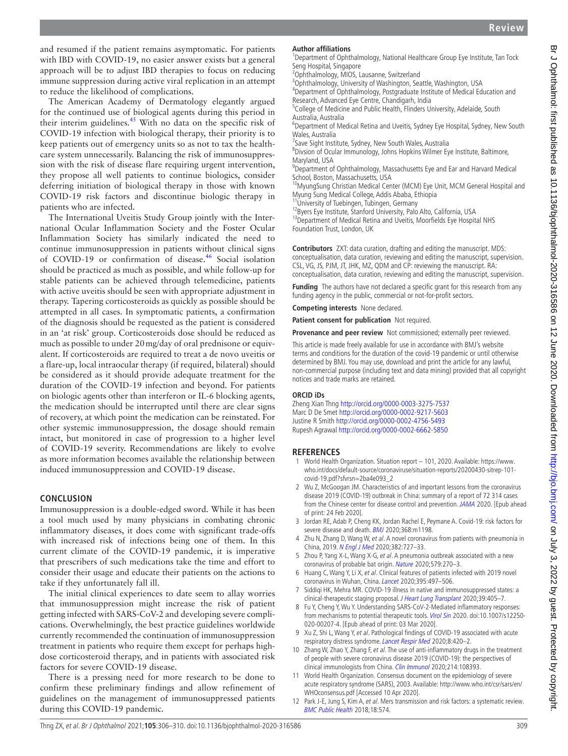and resumed if the patient remains asymptomatic. For patients with IBD with COVID-19, no easier answer exists but a general approach will be to adjust IBD therapies to focus on reducing immune suppression during active viral replication in an attempt to reduce the likelihood of complications.

The American Academy of Dermatology elegantly argued for the continued use of biological agents during this period in their interim guidelines.[45](#page-4-26) With no data on the specific risk of COVID-19 infection with biological therapy, their priority is to keep patients out of emergency units so as not to tax the healthcare system unnecessarily. Balancing the risk of immunosuppression with the risk of disease flare requiring urgent intervention, they propose all well patients to continue biologics, consider deferring initiation of biological therapy in those with known COVID-19 risk factors and discontinue biologic therapy in patients who are infected.

The International Uveitis Study Group jointly with the International Ocular Inflammation Society and the Foster Ocular Inflammation Society has similarly indicated the need to continue immunosuppression in patients without clinical signs of COVID-19 or confirmation of disease.<sup>[46](#page-4-27)</sup> Social isolation should be practiced as much as possible, and while follow-up for stable patients can be achieved through telemedicine, patients with active uveitis should be seen with appropriate adjustment in therapy. Tapering corticosteroids as quickly as possible should be attempted in all cases. In symptomatic patients, a confirmation of the diagnosis should be requested as the patient is considered in an 'at risk' group. Corticosteroids dose should be reduced as much as possible to under 20mg/day of oral prednisone or equivalent. If corticosteroids are required to treat a de novo uveitis or a flare-up, local intraocular therapy (if required, bilateral) should be considered as it should provide adequate treatment for the duration of the COVID-19 infection and beyond. For patients on biologic agents other than interferon or IL-6 blocking agents, the medication should be interrupted until there are clear signs of recovery, at which point the medication can be reinstated. For other systemic immunosuppression, the dosage should remain intact, but monitored in case of progression to a higher level of COVID-19 severity. Recommendations are likely to evolve as more information becomes available the relationship between induced immunosuppression and COVID-19 disease.

## **Conclusion**

Immunosuppression is a double-edged sword. While it has been a tool much used by many physicians in combating chronic inflammatory diseases, it does come with significant trade-offs with increased risk of infections being one of them. In this current climate of the COVID-19 pandemic, it is imperative that prescribers of such medications take the time and effort to consider their usage and educate their patients on the actions to take if they unfortunately fall ill.

The initial clinical experiences to date seem to allay worries that immunosuppression might increase the risk of patient getting infected with SARS-CoV-2 and developing severe complications. Overwhelmingly, the best practice guidelines worldwide currently recommended the continuation of immunosuppression treatment in patients who require them except for perhaps highdose corticosteroid therapy, and in patients with associated risk factors for severe COVID-19 disease.

There is a pressing need for more research to be done to confirm these preliminary findings and allow refinement of guidelines on the management of immunosuppressed patients during this COVID-19 pandemic.

#### **Author affiliations**

<sup>1</sup>Department of Ophthalmology, National Healthcare Group Eye Institute, Tan Tock Seng Hospital, Singapore

<sup>2</sup>Ophthalmology, MIOS, Lausanne, Switzerland

<sup>3</sup>Ophthalmology, University of Washington, Seattle, Washington, USA <sup>4</sup>Department of Ophthalmology, Postgraduate Institute of Medical Education and

Research, Advanced Eye Centre, Chandigarh, India

<sup>5</sup>College of Medicine and Public Health, Flinders University, Adelaide, South Australia, Australia

<sup>6</sup>Department of Medical Retina and Uveitis, Sydney Eye Hospital, Sydney, New South Wales, Australia

<sup>7</sup>Save Sight Institute, Sydney, New South Wales, Australia

8 Divsion of Ocular Immunology, Johns Hopkins Wilmer Eye Institute, Baltimore, Maryland, USA

<sup>9</sup>Department of Ophthalmology, Massachusetts Eye and Ear and Harvard Medical School, Boston, Massachusetts, USA

10MyungSung Christian Medical Center (MCM) Eye Unit, MCM General Hospital and Myung Sung Medical College, Addis Ababa, Ethiopia

<sup>1</sup>University of Tuebingen, Tubingen, Germany

<sup>12</sup>Byers Eye Institute, Stanford University, Palo Alto, California, USA <sup>13</sup>Department of Medical Retina and Uveitis, Moorfields Eye Hospital NHS Foundation Trust, London, UK

**Contributors** ZXT: data curation, drafting and editing the manuscript. MDS: conceptualisation, data curation, reviewing and editing the manuscript, supervision. CSL, VG, JS, PJM, JT, JHK, MZ, QDM and CP: reviewing the manuscript. RA: conceptualisation, data curation, reviewing and editing the manuscript, supervision.

**Funding** The authors have not declared a specific grant for this research from any funding agency in the public, commercial or not-for-profit sectors.

**Competing interests** None declared.

**Patient consent for publication** Not required.

**Provenance and peer review** Not commissioned; externally peer reviewed.

This article is made freely available for use in accordance with BMJ's website terms and conditions for the duration of the covid-19 pandemic or until otherwise determined by BMJ. You may use, download and print the article for any lawful, non-commercial purpose (including text and data mining) provided that all copyright notices and trade marks are retained.

#### **ORCID iDs**

Zheng Xian Thng<http://orcid.org/0000-0003-3275-7537> Marc D De Smet <http://orcid.org/0000-0002-9217-5603> Justine R Smith <http://orcid.org/0000-0002-4756-5493> Rupesh Agrawal<http://orcid.org/0000-0002-6662-5850>

## **References**

- <span id="page-3-0"></span>1 World Health Organization. Situation report – 101, 2020. Available: [https://www.](https://www.who.int/docs/default-source/coronaviruse/situation-reports/20200430-sitrep-101-covid-19.pdf?sfvrsn=2ba4e093_2) [who.int/docs/default-source/coronaviruse/situation-reports/20200430-sitrep-101](https://www.who.int/docs/default-source/coronaviruse/situation-reports/20200430-sitrep-101-covid-19.pdf?sfvrsn=2ba4e093_2) [covid-19.pdf?sfvrsn=2ba4e093\\_2](https://www.who.int/docs/default-source/coronaviruse/situation-reports/20200430-sitrep-101-covid-19.pdf?sfvrsn=2ba4e093_2)
- <span id="page-3-1"></span>2 Wu Z, McGoogan JM. Characteristics of and important lessons from the coronavirus disease 2019 (COVID-19) outbreak in China: summary of a report of 72 314 cases from the Chinese center for disease control and prevention. [JAMA](http://dx.doi.org/10.1001/jama.2020.2648) 2020. [Epub ahead of print: 24 Feb 2020].
- <span id="page-3-2"></span>3 Jordan RE, Adab P, Cheng KK, Jordan Rachel E, Peymane A. Covid-19: risk factors for severe disease and death. **[BMJ](http://dx.doi.org/10.1136/bmj.m1198)** 2020:368:m1198.
- <span id="page-3-3"></span>4 Zhu N, Zhang D, Wang W, et al. A novel coronavirus from patients with pneumonia in China, 2019. [N Engl J Med](http://dx.doi.org/10.1056/NEJMoa2001017) 2020;382:727–33.
- <span id="page-3-4"></span>5 Zhou P, Yang X-L, Wang X-G, et al. A pneumonia outbreak associated with a new coronavirus of probable bat origin. [Nature](http://dx.doi.org/10.1038/s41586-020-2012-7) 2020;579:270–3.
- <span id="page-3-5"></span>6 Huang C, Wang Y, Li X, et al. Clinical features of patients infected with 2019 novel coronavirus in Wuhan, China. [Lancet](http://dx.doi.org/10.1016/S0140-6736(20)30183-5) 2020;395:497-506.
- <span id="page-3-6"></span>7 Siddiqi HK, Mehra MR. COVID-19 illness in native and immunosuppressed states: a clinical-therapeutic staging proposal. [J Heart Lung Transplant](http://dx.doi.org/10.1016/j.healun.2020.03.012) 2020;39:405-7.
- <span id="page-3-7"></span>8 Fu Y, Cheng Y, Wu Y. Understanding SARS-CoV-2-Mediated inflammatory responses: from mechanisms to potential therapeutic tools. [Virol Sin](http://dx.doi.org/10.1007/s12250-020-00207-4) 2020. doi:10.1007/s12250- 020-00207-4. [Epub ahead of print: 03 Mar 2020].
- <span id="page-3-8"></span>9 Xu Z, Shi L, Wang Y, et al. Pathological findings of COVID-19 associated with acute respiratory distress syndrome. [Lancet Respir Med](http://dx.doi.org/10.1016/S2213-2600(20)30076-X) 2020;8:420–2.
- 10 Zhang W, Zhao Y, Zhang F, et al. The use of anti-inflammatory drugs in the treatment of people with severe coronavirus disease 2019 (COVID-19): the perspectives of clinical immunologists from China. [Clin Immunol](http://dx.doi.org/10.1016/j.clim.2020.108393) 2020;214:108393
- <span id="page-3-9"></span>11 World Health Organization. Consensus document on the epidemiology of severe acute respiratory syndrome (SARS), 2003. Available: [http://www.who.int/csr/sars/en/](http://www.who.int/csr/sars/en/WHOconsensus.pdf) [WHOconsensus.pdf](http://www.who.int/csr/sars/en/WHOconsensus.pdf) [Accessed 10 Apr 2020].
- <span id="page-3-10"></span>12 Park J-E, Jung S, Kim A, et al. Mers transmission and risk factors: a systematic review. [BMC Public Health](http://dx.doi.org/10.1186/s12889-018-5484-8) 2018;18:574.